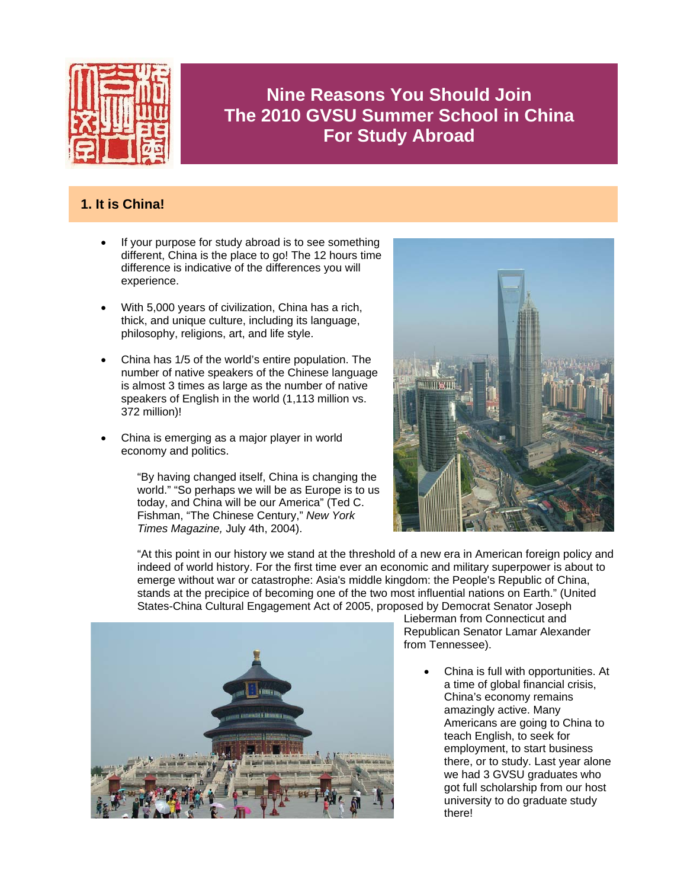

# **Nine Reasons You Should Join The 2010 GVSU Summer School in China For Study Abroad**

# **1. It is China!**

- If your purpose for study abroad is to see something different, China is the place to go! The 12 hours time difference is indicative of the differences you will experience.
- With 5,000 years of civilization, China has a rich, thick, and unique culture, including its language, philosophy, religions, art, and life style.
- China has 1/5 of the world's entire population. The number of native speakers of the Chinese language is almost 3 times as large as the number of native speakers of English in the world (1,113 million vs. 372 million)!
- China is emerging as a major player in world economy and politics.

"By having changed itself, China is changing the world." "So perhaps we will be as Europe is to us today, and China will be our America" (Ted C. Fishman, "The Chinese Century," *New York Times Magazine,* July 4th, 2004).



"At this point in our history we stand at the threshold of a new era in American foreign policy and indeed of world history. For the first time ever an economic and military superpower is about to emerge without war or catastrophe: Asia's middle kingdom: the People's Republic of China, stands at the precipice of becoming one of the two most influential nations on Earth." (United States-China Cultural Engagement Act of 2005, proposed by Democrat Senator Joseph



Lieberman from Connecticut and Republican Senator Lamar Alexander from Tennessee).

• China is full with opportunities. At a time of global financial crisis, China's economy remains amazingly active. Many Americans are going to China to teach English, to seek for employment, to start business there, or to study. Last year alone we had 3 GVSU graduates who got full scholarship from our host university to do graduate study there!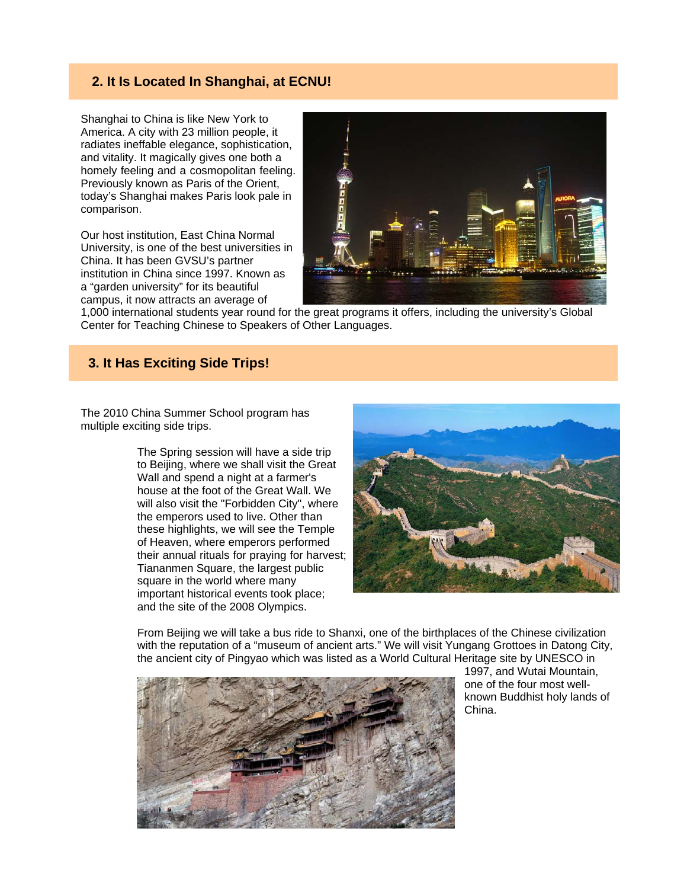#### **2. It Is Located In Shanghai, at ECNU!**

Shanghai to China is like New York to America. A city with 23 million people, it radiates ineffable elegance, sophistication, and vitality. It magically gives one both a homely feeling and a cosmopolitan feeling. Previously known as Paris of the Orient, today's Shanghai makes Paris look pale in comparison.

Our host institution, East China Normal University, is one of the best universities in China. It has been GVSU's partner institution in China since 1997. Known as a "garden university" for its beautiful campus, it now attracts an average of



1,000 international students year round for the great programs it offers, including the university's Global Center for Teaching Chinese to Speakers of Other Languages.

#### **3. It Has Exciting Side Trips!**

The 2010 China Summer School program has multiple exciting side trips.

> The Spring session will have a side trip to Beijing, where we shall visit the Great Wall and spend a night at a farmer's house at the foot of the Great Wall. We will also visit the "Forbidden City", where the emperors used to live. Other than these highlights, we will see the Temple of Heaven, where emperors performed their annual rituals for praying for harvest; Tiananmen Square, the largest public square in the world where many important historical events took place; and the site of the 2008 Olympics.



From Beijing we will take a bus ride to Shanxi, one of the birthplaces of the Chinese civilization with the reputation of a "museum of ancient arts." We will visit Yungang Grottoes in Datong City, the ancient city of Pingyao which was listed as a World Cultural Heritage site by UNESCO in



1997, and Wutai Mountain, one of the four most wellknown Buddhist holy lands of China.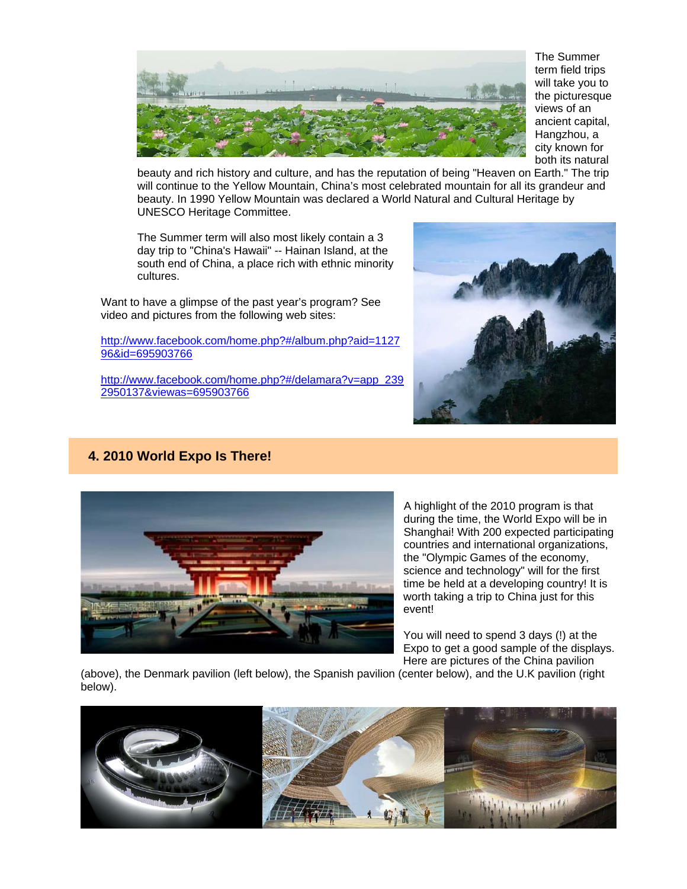

The Summer term field trips will take you to the picturesque views of an ancient capital, Hangzhou, a city known for both its natural

beauty and rich history and culture, and has the reputation of being "Heaven on Earth." The trip will continue to the Yellow Mountain, China's most celebrated mountain for all its grandeur and beauty. In 1990 Yellow Mountain was declared a World Natural and Cultural Heritage by UNESCO Heritage Committee.

The Summer term will also most likely contain a 3 day trip to "China's Hawaii" -- Hainan Island, at the south end of China, a place rich with ethnic minority cultures.

Want to have a glimpse of the past year's program? See video and pictures from the following web sites:

#### http://www.facebook.com/home.php?#/album.php?aid=1127 96&id=695903766

http://www.facebook.com/home.php?#/delamara?v=app\_239 2950137&viewas=695903766



# **4. 2010 World Expo Is There!**



A highlight of the 2010 program is that during the time, the World Expo will be in Shanghai! With 200 expected participating countries and international organizations, the "Olympic Games of the economy, science and technology" will for the first time be held at a developing country! It is worth taking a trip to China just for this event!

You will need to spend 3 days (!) at the Expo to get a good sample of the displays. Here are pictures of the China pavilion

(above), the Denmark pavilion (left below), the Spanish pavilion (center below), and the U.K pavilion (right below).

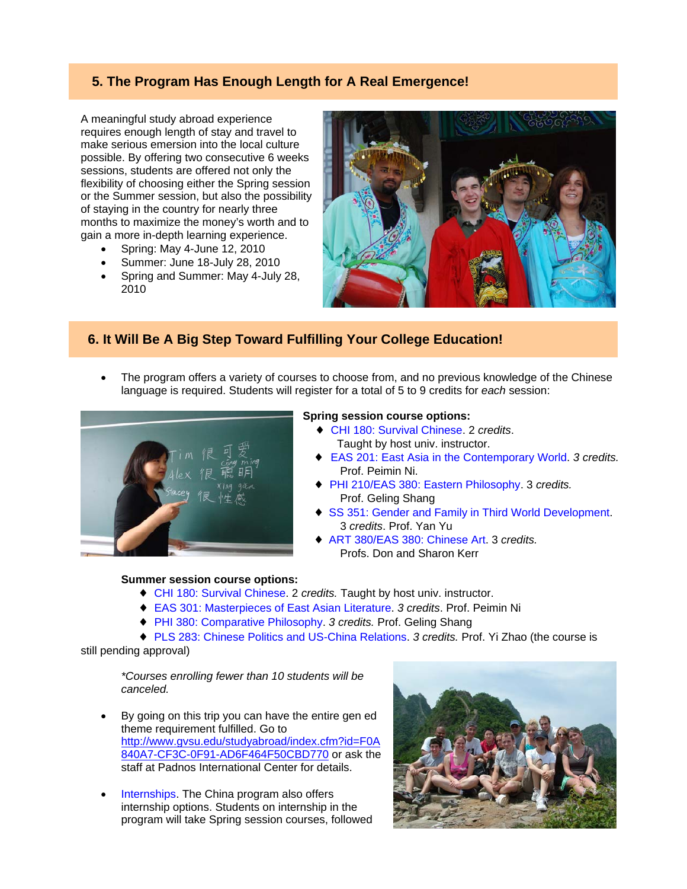# **5. The Program Has Enough Length for A Real Emergence!**

A meaningful study abroad experience requires enough length of stay and travel to make serious emersion into the local culture possible. By offering two consecutive 6 weeks sessions, students are offered not only the flexibility of choosing either the Spring session or the Summer session, but also the possibility of staying in the country for nearly three months to maximize the money's worth and to gain a more in-depth learning experience.

- Spring: May 4-June 12, 2010
- Summer: June 18-July 28, 2010
- Spring and Summer: May 4-July 28, 2010



♦ EAS 201: East Asia in the Contemporary World. *3 credits.*

♦ SS 351: Gender and Family in Third World Development.

♦ PHI 210/EAS 380: Eastern Philosophy. 3 *credits.* 

 ♦ ART 380/EAS 380: Chinese Art. 3 *credits.* Profs. Don and Sharon Kerr

## **6. It Will Be A Big Step Toward Fulfilling Your College Education!**

• The program offers a variety of courses to choose from, and no previous knowledge of the Chinese language is required. Students will register for a total of 5 to 9 credits for *each* session:

Prof. Peimin Ni.

Prof. Geling Shang

3 *credits*. Prof. Yan Yu

 ♦ CHI 180: Survival Chinese. 2 *credits*. Taught by host univ. instructor.



#### **Summer session course options:**

#### ♦ CHI 180: Survival Chinese. 2 *credits.* Taught by host univ. instructor.

- ♦ EAS 301: Masterpieces of East Asian Literature. *3 credits*. Prof. Peimin Ni
- ♦ PHI 380: Comparative Philosophy. *3 credits.* Prof. Geling Shang
- ♦ PLS 283: Chinese Politics and US-China Relations. *3 credits.* Prof. Yi Zhao (the course is

still pending approval)

*\*Courses enrolling fewer than 10 students will be canceled.* 

- By going on this trip you can have the entire gen ed theme requirement fulfilled. Go to http://www.gvsu.edu/studyabroad/index.cfm?id=F0A 840A7-CF3C-0F91-AD6F464F50CBD770 or ask the staff at Padnos International Center for details.
- Internships. The China program also offers internship options. Students on internship in the program will take Spring session courses, followed

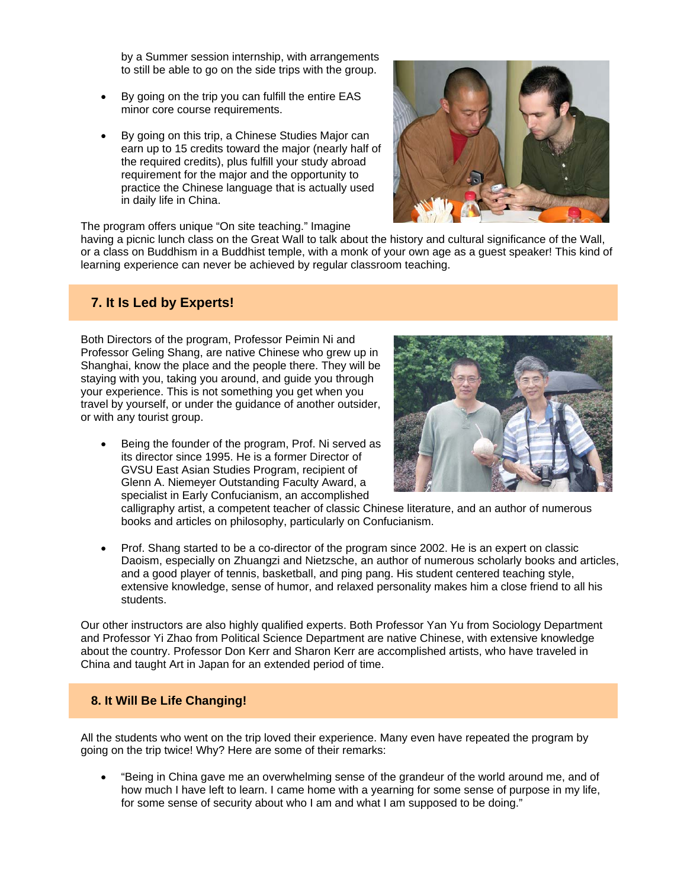by a Summer session internship, with arrangements to still be able to go on the side trips with the group.

- By going on the trip you can fulfill the entire EAS minor core course requirements.
- By going on this trip, a Chinese Studies Major can earn up to 15 credits toward the major (nearly half of the required credits), plus fulfill your study abroad requirement for the major and the opportunity to practice the Chinese language that is actually used in daily life in China.



The program offers unique "On site teaching." Imagine

having a picnic lunch class on the Great Wall to talk about the history and cultural significance of the Wall, or a class on Buddhism in a Buddhist temple, with a monk of your own age as a guest speaker! This kind of learning experience can never be achieved by regular classroom teaching.

## **7. It Is Led by Experts!**

Both Directors of the program, Professor Peimin Ni and Professor Geling Shang, are native Chinese who grew up in Shanghai, know the place and the people there. They will be staying with you, taking you around, and guide you through your experience. This is not something you get when you travel by yourself, or under the guidance of another outsider, or with any tourist group.

• Being the founder of the program, Prof. Ni served as its director since 1995. He is a former Director of GVSU East Asian Studies Program, recipient of Glenn A. Niemeyer Outstanding Faculty Award, a specialist in Early Confucianism, an accomplished



calligraphy artist, a competent teacher of classic Chinese literature, and an author of numerous books and articles on philosophy, particularly on Confucianism.

• Prof. Shang started to be a co-director of the program since 2002. He is an expert on classic Daoism, especially on Zhuangzi and Nietzsche, an author of numerous scholarly books and articles, and a good player of tennis, basketball, and ping pang. His student centered teaching style, extensive knowledge, sense of humor, and relaxed personality makes him a close friend to all his students.

Our other instructors are also highly qualified experts. Both Professor Yan Yu from Sociology Department and Professor Yi Zhao from Political Science Department are native Chinese, with extensive knowledge about the country. Professor Don Kerr and Sharon Kerr are accomplished artists, who have traveled in China and taught Art in Japan for an extended period of time.

#### **8. It Will Be Life Changing!**

All the students who went on the trip loved their experience. Many even have repeated the program by going on the trip twice! Why? Here are some of their remarks:

• "Being in China gave me an overwhelming sense of the grandeur of the world around me, and of how much I have left to learn. I came home with a yearning for some sense of purpose in my life, for some sense of security about who I am and what I am supposed to be doing."